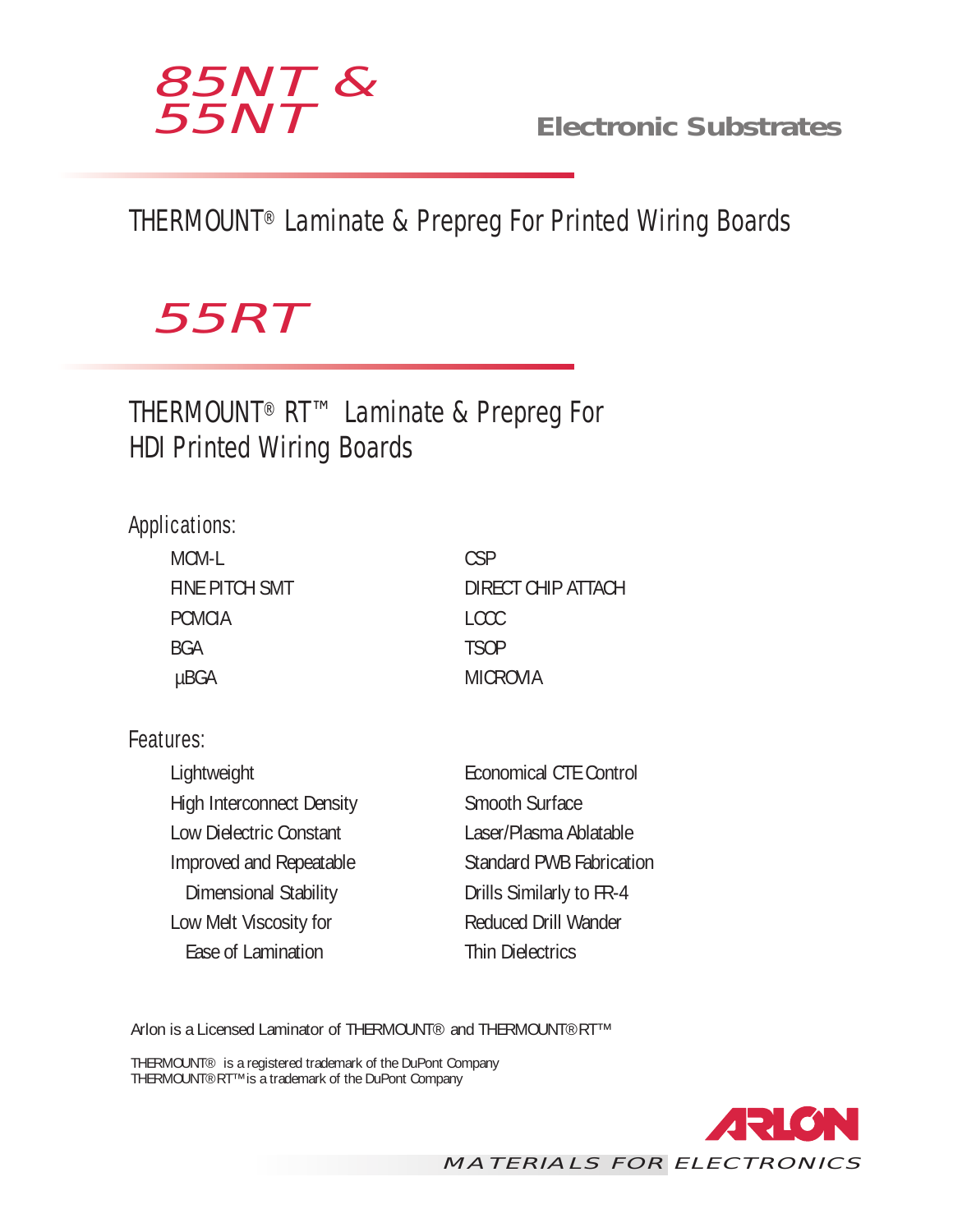

**Electronic Substrates**

## THERMOUNT® Laminate & Prepreg For Printed Wiring Boards

# *55RT*

THERMOUNT® RT™ Laminate & Prepreg For HDI Printed Wiring Boards

#### Applications:

| MCM-L          | CSP                |
|----------------|--------------------|
| FINE PITCH SMT | DIRECT CHIP ATTACH |
| <b>PCMCIA</b>  | <b>LCCC</b>        |
| <b>BGA</b>     | <b>TSOP</b>        |
| µBGA           | <b>MICROVIA</b>    |

#### Features:

| Lightweight                      | <b>Economical CTE Control</b>   |
|----------------------------------|---------------------------------|
| <b>High Interconnect Density</b> | Smooth Surface                  |
| Low Dielectric Constant          | Laser/Plasma Ablatable          |
| Improved and Repeatable          | <b>Standard PWB Fabrication</b> |
| Dimensional Stability            | Drills Similarly to FR-4        |
| Low Melt Viscosity for           | <b>Reduced Drill Wander</b>     |
| Ease of Lamination               | <b>Thin Dielectrics</b>         |
|                                  |                                 |

Arlon is a Licensed Laminator of THERMOUNT® and THERMOUNT®RT™

THERMOUNT® is a registered trademark of the DuPont Company THERMOUNT®RT™ is a trademark of the DuPont Company

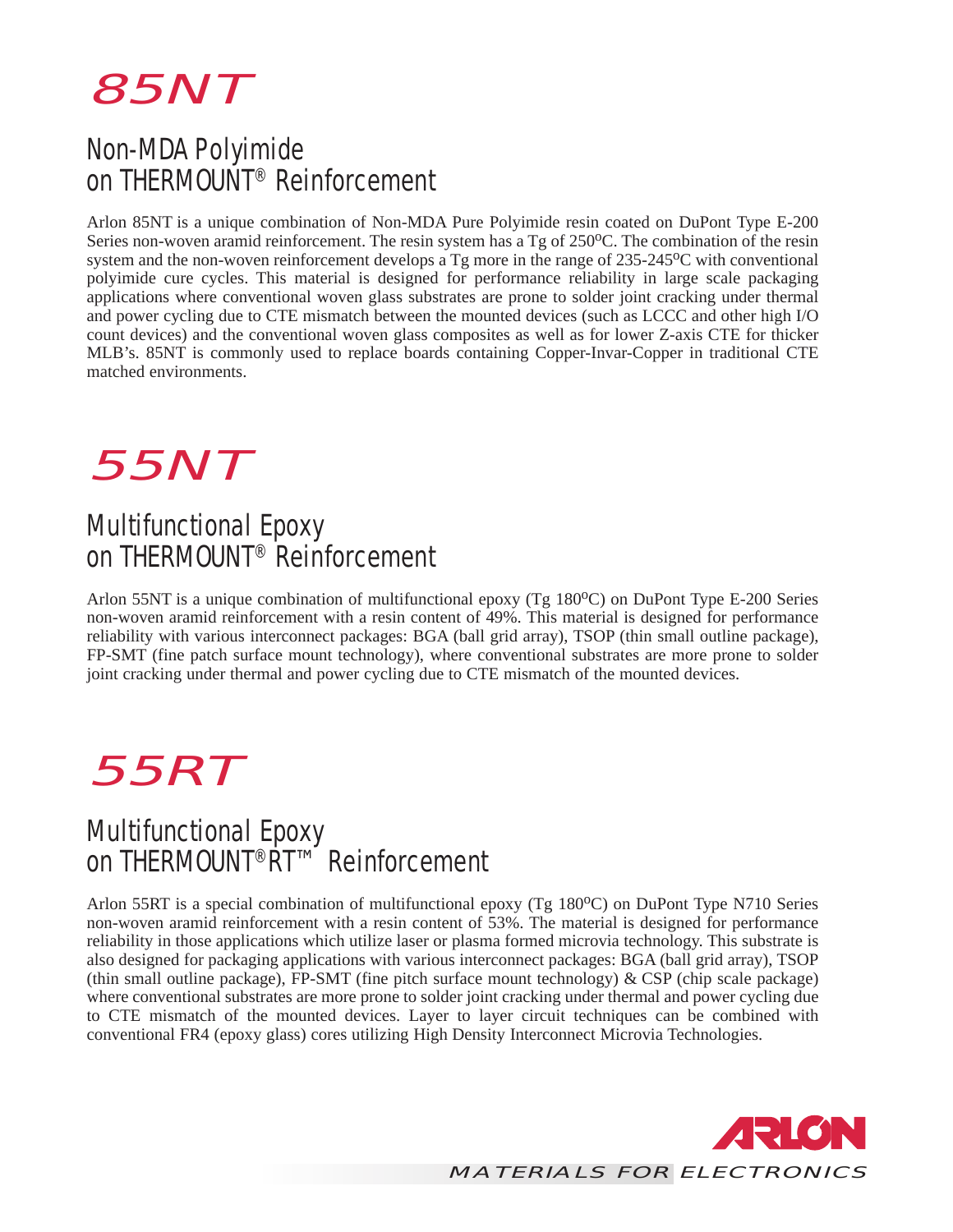

### Non-MDA Polyimide on THERMOUNT® Reinforcement

Arlon 85NT is a unique combination of Non-MDA Pure Polyimide resin coated on DuPont Type E-200 Series non-woven aramid reinforcement. The resin system has a Tg of 250<sup>o</sup>C. The combination of the resin system and the non-woven reinforcement develops a Tg more in the range of 235-245<sup>o</sup>C with conventional polyimide cure cycles. This material is designed for performance reliability in large scale packaging applications where conventional woven glass substrates are prone to solder joint cracking under thermal and power cycling due to CTE mismatch between the mounted devices (such as LCCC and other high I/O count devices) and the conventional woven glass composites as well as for lower Z-axis CTE for thicker MLB's. 85NT is commonly used to replace boards containing Copper-Invar-Copper in traditional CTE matched environments.



### Multifunctional Epoxy on THERMOUNT<sup>®</sup> Reinforcement

Arlon 55NT is a unique combination of multifunctional epoxy (Tg  $180^{\circ}$ C) on DuPont Type E-200 Series non-woven aramid reinforcement with a resin content of 49%. This material is designed for performance reliability with various interconnect packages: BGA (ball grid array), TSOP (thin small outline package), FP-SMT (fine patch surface mount technology), where conventional substrates are more prone to solder joint cracking under thermal and power cycling due to CTE mismatch of the mounted devices.

*55RT*

#### Multifunctional Epoxy on THERMOUNT<sup>®</sup>RT™ Reinforcement

Arlon 55RT is a special combination of multifunctional epoxy (Tg 180°C) on DuPont Type N710 Series non-woven aramid reinforcement with a resin content of 53%. The material is designed for performance reliability in those applications which utilize laser or plasma formed microvia technology. This substrate is also designed for packaging applications with various interconnect packages: BGA (ball grid array), TSOP (thin small outline package), FP-SMT (fine pitch surface mount technology) & CSP (chip scale package) where conventional substrates are more prone to solder joint cracking under thermal and power cycling due to CTE mismatch of the mounted devices. Layer to layer circuit techniques can be combined with conventional FR4 (epoxy glass) cores utilizing High Density Interconnect Microvia Technologies.

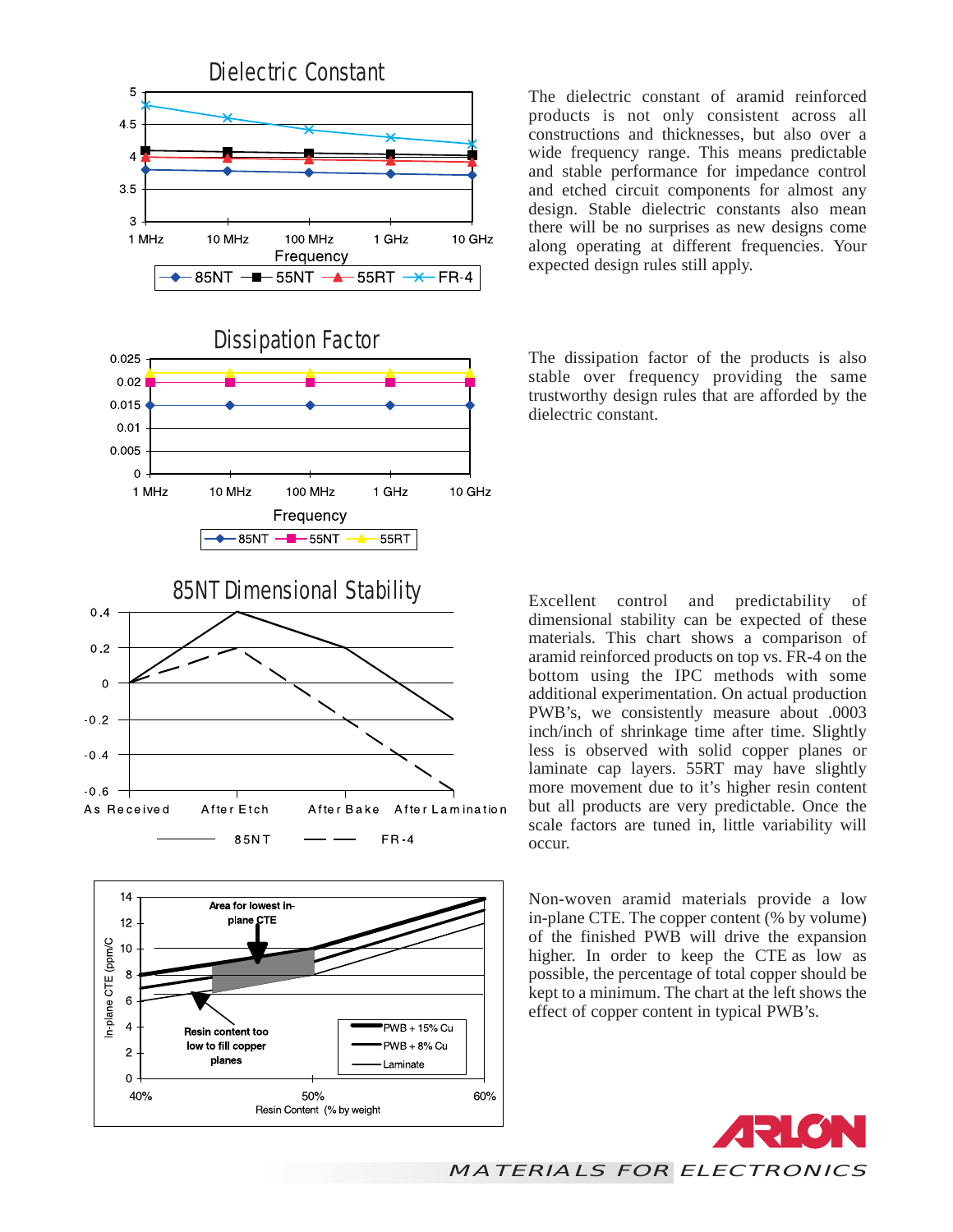



The dielectric constant of aramid reinforced products is not only consistent across all constructions and thicknesses, but also over a wide frequency range. This means predictable and stable performance for impedance control and etched circuit components for almost any design. Stable dielectric constants also mean there will be no surprises as new designs come along operating at different frequencies. Your expected design rules still apply.

The dissipation factor of the products is also stable over frequency providing the same trustworthy design rules that are afforded by the dielectric constant.

Excellent control and predictability of dimensional stability can be expected of these materials. This chart shows a comparison of aramid reinforced products on top vs. FR-4 on the bottom using the IPC methods with some additional experimentation. On actual production PWB's, we consistently measure about .0003 inch/inch of shrinkage time after time. Slightly less is observed with solid copper planes or laminate cap layers. 55RT may have slightly more movement due to it's higher resin content but all products are very predictable. Once the scale factors are tuned in, little variability will occur.

Non-woven aramid materials provide a low in-plane CTE. The copper content (% by volume) of the finished PWB will drive the expansion higher. In order to keep the CTE as low as possible, the percentage of total copper should be kept to a minimum. The chart at the left shows the effect of copper content in typical PWB's.



*MATERIALS FOR ELECTRONICS*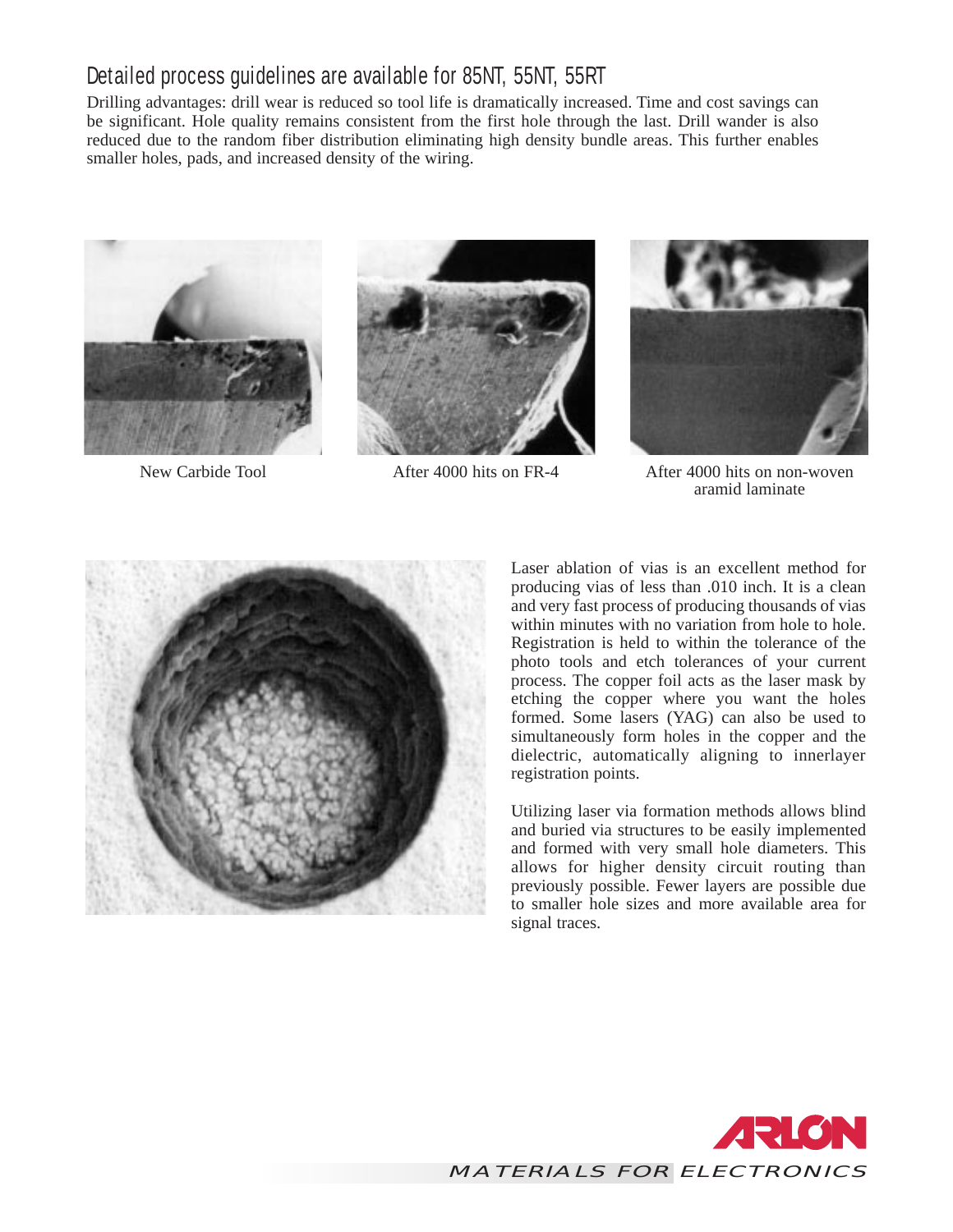#### Detailed process guidelines are available for 85NT, 55NT, 55RT

Drilling advantages: drill wear is reduced so tool life is dramatically increased. Time and cost savings can be significant. Hole quality remains consistent from the first hole through the last. Drill wander is also reduced due to the random fiber distribution eliminating high density bundle areas. This further enables smaller holes, pads, and increased density of the wiring.







New Carbide Tool **After 4000** hits on FR-4 After 4000 hits on non-woven aramid laminate



Laser ablation of vias is an excellent method for producing vias of less than .010 inch. It is a clean and very fast process of producing thousands of vias within minutes with no variation from hole to hole. Registration is held to within the tolerance of the photo tools and etch tolerances of your current process. The copper foil acts as the laser mask by etching the copper where you want the holes formed. Some lasers (YAG) can also be used to simultaneously form holes in the copper and the dielectric, automatically aligning to innerlayer registration points.

Utilizing laser via formation methods allows blind and buried via structures to be easily implemented and formed with very small hole diameters. This allows for higher density circuit routing than previously possible. Fewer layers are possible due to smaller hole sizes and more available area for signal traces.

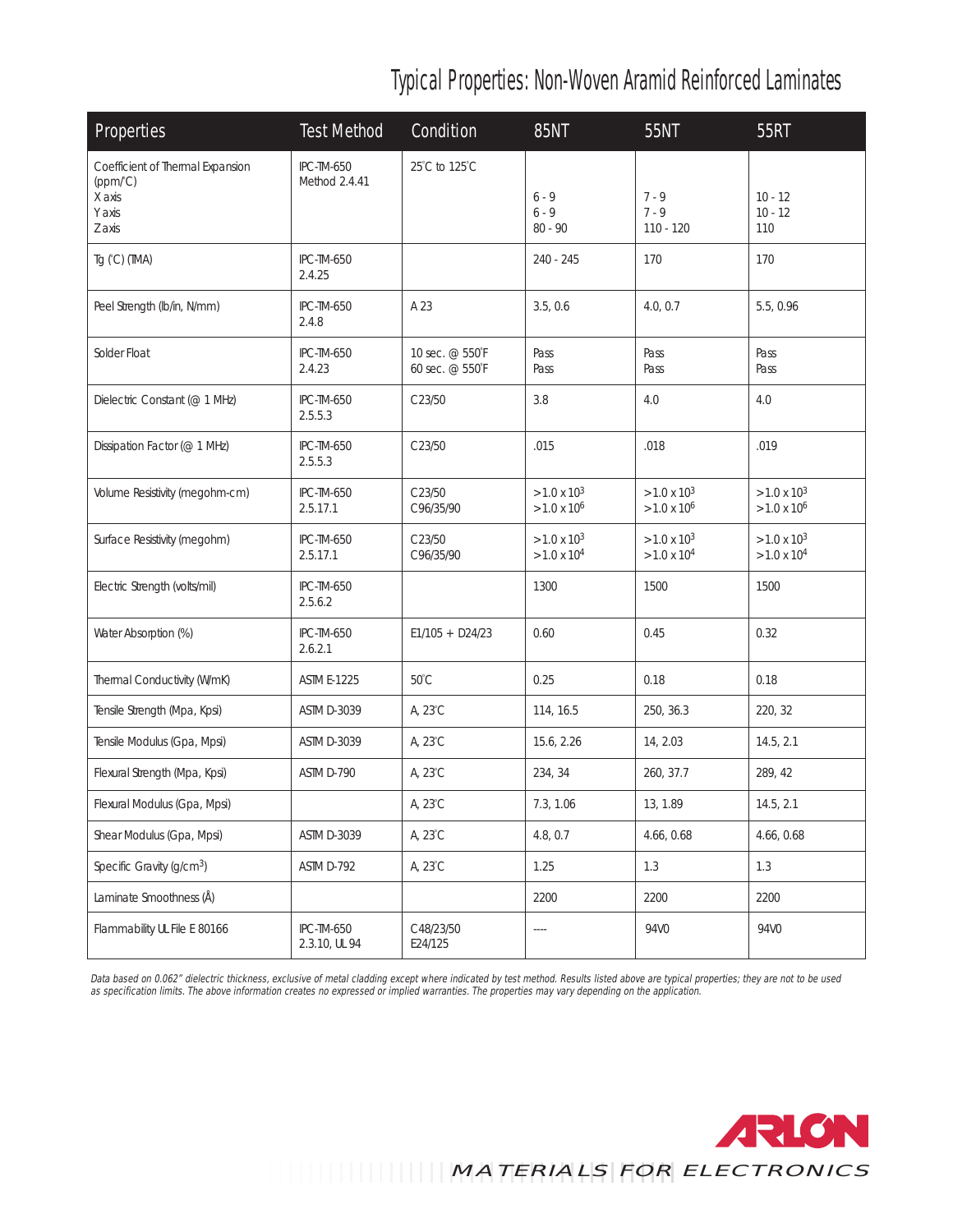## Typical Properties: Non-Woven Aramid Reinforced Laminates

| Properties                                                                          | <b>Test Method</b>                 | Condition                          | <b>85NT</b>                                  | <b>55NT</b>                                      | <b>55RT</b>                                      |
|-------------------------------------------------------------------------------------|------------------------------------|------------------------------------|----------------------------------------------|--------------------------------------------------|--------------------------------------------------|
| Coefficient of Thermal Expansion<br>$(ppm/^{\circ}C)$<br>X axis<br>Y axis<br>Z axis | <b>IPC-TM-650</b><br>Method 2.4.41 | 25°C to 125°C                      | $6 - 9$<br>$6 - 9$<br>$80 - 90$              | $7 - 9$<br>$7 - 9$<br>110 - 120                  | $10 - 12$<br>$10 - 12$<br>110                    |
| Tg (°C) (TMA)                                                                       | <b>IPC-TM-650</b><br>2.4.25        |                                    | 240 - 245                                    | 170                                              | 170                                              |
| Peel Strength (Ib/in, N/mm)                                                         | IPC-TM-650<br>2.4.8                | A 23                               | 3.5, 0.6                                     | 4.0.0.7                                          | 5.5, 0.96                                        |
| Solder Float                                                                        | <b>IPC-TM-650</b><br>2.4.23        | 10 sec. @ 550°F<br>60 sec. @ 550°F | Pass<br>Pass                                 | Pass<br>Pass                                     | Pass<br>Pass                                     |
| Dielectric Constant (@ 1 MHz)                                                       | IPC-TM-650<br>2.5.5.3              | C <sub>23/50</sub>                 | 3.8                                          | 4.0                                              | 4.0                                              |
| Dissipation Factor (@ 1 MHz)                                                        | <b>IPC-TM-650</b><br>2.5.5.3       | C23/50                             | .015                                         | .018                                             | .019                                             |
| Volume Resistivity (megohm-cm)                                                      | IPC-TM-650<br>2.5.17.1             | C23/50<br>C96/35/90                | $>1.0 \times 10^{3}$<br>$>1.0 \times 10^6$   | $>1.0 \times 10^{3}$<br>$>1.0$ x 10 <sup>6</sup> | $>1.0 \times 10^{3}$<br>$>1.0$ x 10 <sup>6</sup> |
| Surface Resistivity (megohm)                                                        | <b>IPC-TM-650</b><br>2.5.17.1      | C23/50<br>C96/35/90                | $>1.0 \times 10^{3}$<br>$>1.0 \times 10^{4}$ | $>1.0 \times 10^{3}$<br>$>1.0 \times 10^{4}$     | $>1.0 \times 10^{3}$<br>$>1.0 \times 10^{4}$     |
| Electric Strength (volts/mil)                                                       | IPC-TM-650<br>2.5.6.2              |                                    | 1300                                         | 1500                                             | 1500                                             |
| Water Absorption (%)                                                                | IPC-TM-650<br>2.6.2.1              | $E1/105 + D24/23$                  | 0.60                                         | 0.45                                             | 0.32                                             |
| Thermal Conductivity (W/mK)                                                         | <b>ASTM E-1225</b>                 | $50^{\circ}$ C                     | 0.25                                         | 0.18                                             | 0.18                                             |
| Tensile Strength (Mpa, Kpsi)                                                        | ASTM D-3039                        | A, 23°C                            | 114, 16.5                                    | 250, 36.3                                        | 220, 32                                          |
| Tensile Modulus (Gpa, Mpsi)                                                         | ASTM D-3039                        | A, 23°C                            | 15.6, 2.26                                   | 14, 2.03                                         | 14.5, 2.1                                        |
| Flexural Strength (Mpa, Kpsi)                                                       | ASTM D-790                         | A, 23°C                            | 234, 34                                      | 260, 37.7                                        | 289, 42                                          |
| Flexural Modulus (Gpa, Mpsi)                                                        |                                    | A, 23°C                            | 7.3, 1.06                                    | 13, 1.89                                         | 14.5, 2.1                                        |
| Shear Modulus (Gpa, Mpsi)                                                           | ASTM D-3039                        | A, 23°C                            | 4.8, 0.7                                     | 4.66, 0.68                                       | 4.66, 0.68                                       |
| Specific Gravity (g/cm <sup>3</sup> )                                               | ASTM D-792                         | A, 23°C                            | 1.25                                         | 1.3                                              | 1.3                                              |
| Laminate Smoothness (Å)                                                             |                                    |                                    | 2200                                         | 2200                                             | 2200                                             |
| Flammability UL File E 80166                                                        | <b>IPC-TM-650</b><br>2.3.10, UL 94 | C48/23/50<br>E24/125               | ----                                         | 94V0                                             | 94V0                                             |

*Data based on 0.062" dielectric thickness, exclusive of metal cladding except where indicated by test method. Results listed above are typical properties; they are not to be used as specification limits. The above information creates no expressed or implied warranties. The properties may vary depending on the application.*